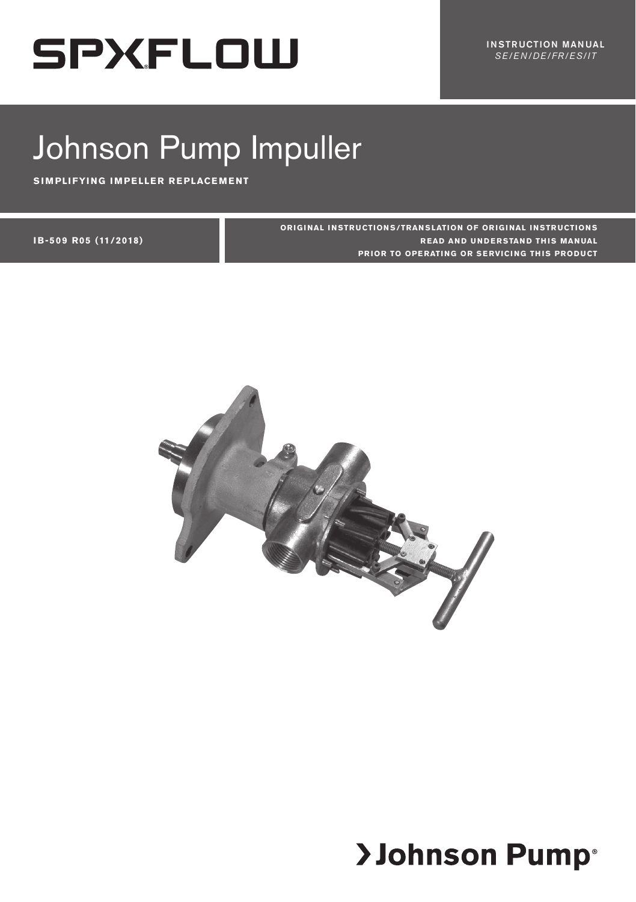# **SPXFLOW**

INSTRUCTION MANUAL *SE/EN/DE/FR/ES/IT*

## Johnson Pump Impuller

**SIMPLIFYING IMPELLER REPLACEMENT**

#### **I B-509 R05 (11/2018)**

**ORIGINAL INSTRUCTIONS/TRANSLATION OF ORIGINAL INSTRUCTIONS READ AND UNDERSTAND THIS MANUAL PRIOR TO OPERATING OR SERVICING THIS PRODUCT**



## >Johnson Pump®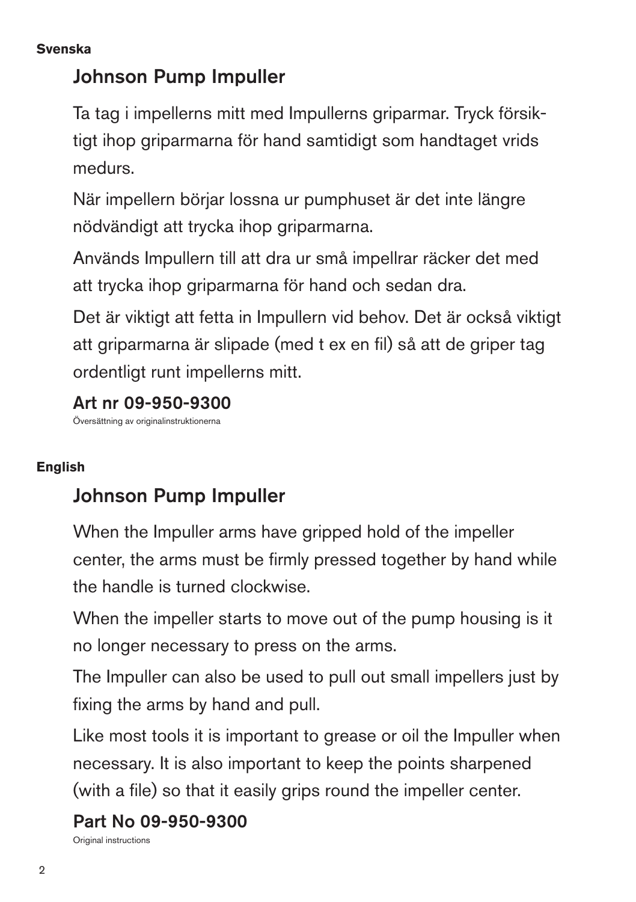#### **Svenska**

## Johnson Pump Impuller

Ta tag i impellerns mitt med Impullerns griparmar. Tryck försiktigt ihop griparmarna för hand samtidigt som handtaget vrids medurs.

När impellern börjar lossna ur pumphuset är det inte längre nödvändigt att trycka ihop griparmarna.

Används Impullern till att dra ur små impellrar räcker det med att trycka ihop griparmarna för hand och sedan dra.

Det är viktigt att fetta in Impullern vid behov. Det är också viktigt att griparmarna är slipade (med t ex en fil) så att de griper tag ordentligt runt impellerns mitt.

## Art nr 09-950-9300

Översättning av originalinstruktionerna

#### **English**

## Johnson Pump Impuller

When the Impuller arms have gripped hold of the impeller center, the arms must be firmly pressed together by hand while the handle is turned clockwise.

When the impeller starts to move out of the pump housing is it no longer necessary to press on the arms.

The Impuller can also be used to pull out small impellers just by fixing the arms by hand and pull.

Like most tools it is important to grease or oil the Impuller when necessary. It is also important to keep the points sharpened (with a file) so that it easily grips round the impeller center.

## Part No 09-950-9300

Original instructions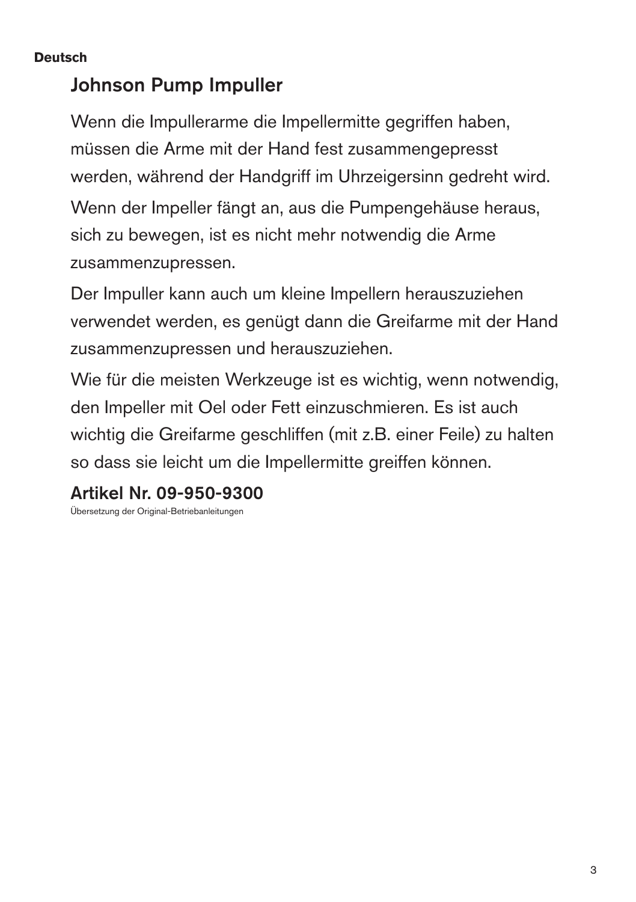#### **Deutsch** FRANCAISE STATE STATE STATE STATE STATE STATE STATE STATE STATE STATE STATE STATE STATE STATE STATE STATE STATE STATE STATE STATE STATE STATE STATE STATE STATE STATE STATE STATE STATE STATE STATE STATE STATE STAT

## Johnson Pump Impuller

Wenn die Impullerarme die Impellermitte gegriffen haben, müssen die Arme mit der Hand fest zusammengepresst werden, während der Handgriff im Uhrzeigersinn gedreht wird.

Wenn der Impeller fängt an, aus die Pumpengehäuse heraus, sich zu bewegen, ist es nicht mehr notwendig die Arme zusammenzupressen.

Der Impuller kann auch um kleine Impellern herauszuziehen verwendet werden, es genügt dann die Greifarme mit der Hand zusammenzupressen und herauszuziehen.

Wie für die meisten Werkzeuge ist es wichtig, wenn notwendig, den Impeller mit Oel oder Fett einzuschmieren. Es ist auch wichtig die Greifarme geschliffen (mit z.B. einer Feile) zu halten so dass sie leicht um die Impellermitte greiffen können.

### Artikel Nr. 09-950-9300

Übersetzung der Original-Betriebanleitungen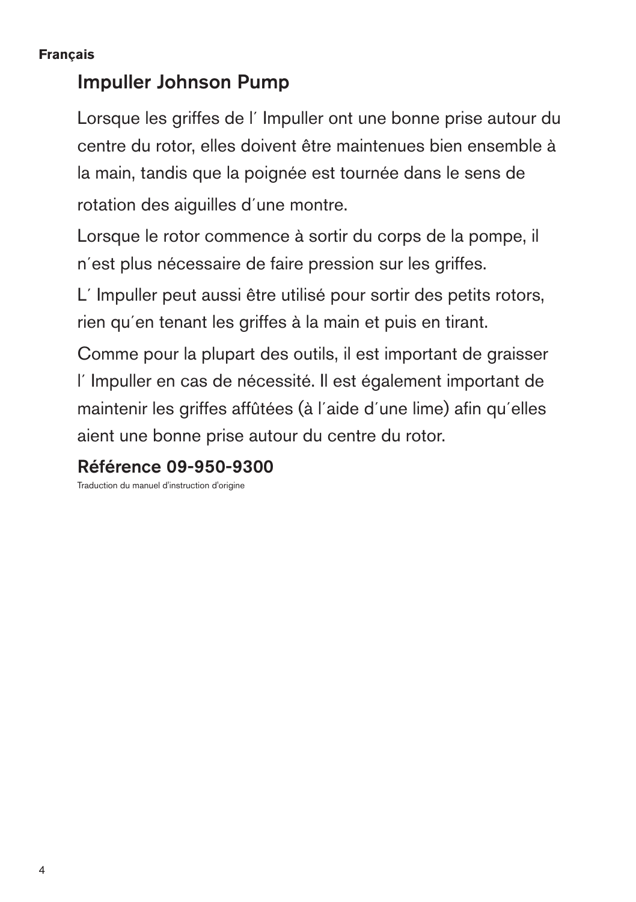#### **Français**

## Impuller Johnson Pump

Lorsque les griffes de l´ Impuller ont une bonne prise autour du centre du rotor, elles doivent être maintenues bien ensemble à la main, tandis que la poignée est tournée dans le sens de rotation des aiguilles d´une montre.

Lorsque le rotor commence à sortir du corps de la pompe, il n´est plus nécessaire de faire pression sur les griffes.

L´ Impuller peut aussi être utilisé pour sortir des petits rotors, rien qu´en tenant les griffes à la main et puis en tirant.

Comme pour la plupart des outils, il est important de graisser l´ Impuller en cas de nécessité. Il est également important de maintenir les griffes affûtées (à l´aide d´une lime) afin qu´elles aient une bonne prise autour du centre du rotor.

### Référence 09-950-9300

Traduction du manuel d'instruction d'origine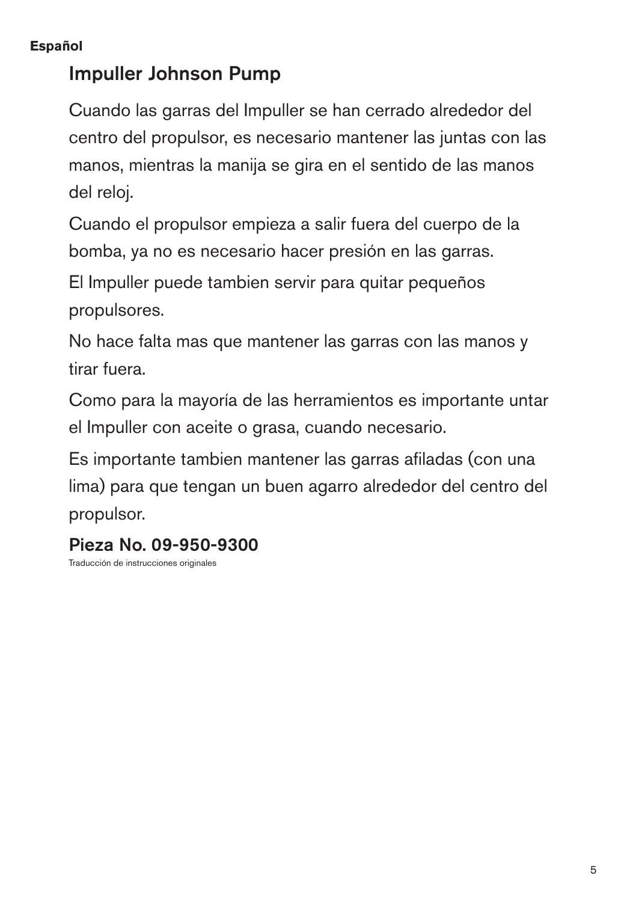#### **Español**

## Impuller Johnson Pump

Cuando las garras del Impuller se han cerrado alrededor del centro del propulsor, es necesario mantener las juntas con las manos, mientras la manija se gira en el sentido de las manos del reloj.

Cuando el propulsor empieza a salir fuera del cuerpo de la bomba, ya no es necesario hacer presión en las garras.

El Impuller puede tambien servir para quitar pequeños propulsores.

No hace falta mas que mantener las garras con las manos y tirar fuera.

Como para la mayoría de las herramientos es importante untar el Impuller con aceite o grasa, cuando necesario.

Es importante tambien mantener las garras afiladas (con una lima) para que tengan un buen agarro alrededor del centro del propulsor.

## Pieza No. 09-950-9300

Traducción de instrucciones originales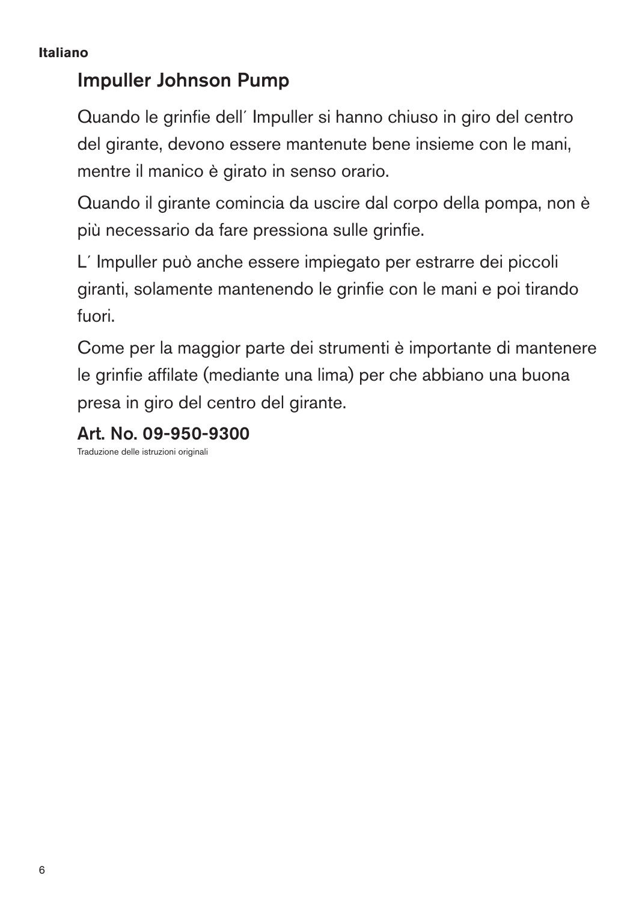#### **Italiano**

## Impuller Johnson Pump

Quando le grinfie dell´ Impuller si hanno chiuso in giro del centro del girante, devono essere mantenute bene insieme con le mani, mentre il manico è girato in senso orario.

Quando il girante comincia da uscire dal corpo della pompa, non è più necessario da fare pressiona sulle grinfie.

L´ Impuller può anche essere impiegato per estrarre dei piccoli giranti, solamente mantenendo le grinfie con le mani e poi tirando fuori.

Come per la maggior parte dei strumenti è importante di mantenere le grinfie affilate (mediante una lima) per che abbiano una buona presa in giro del centro del girante.

## Art. No. 09-950-9300

Traduzione delle istruzioni originali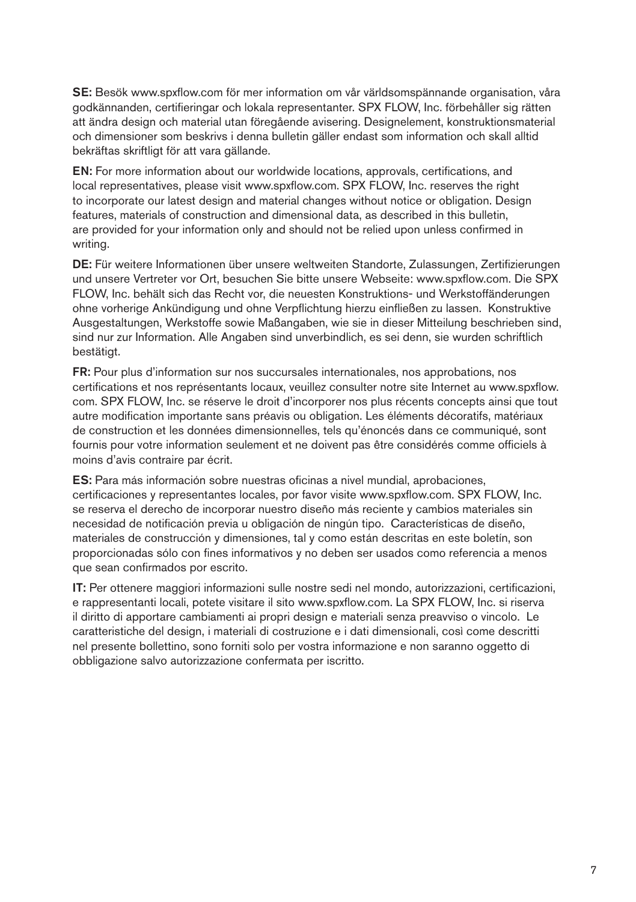SE: Besök www.spxflow.com för mer information om vår världsomspännande organisation, våra godkännanden, certifieringar och lokala representanter. SPX FLOW, Inc. förbehåller sig rätten att ändra design och material utan föregående avisering. Designelement, konstruktionsmaterial och dimensioner som beskrivs i denna bulletin gäller endast som information och skall alltid bekräftas skriftligt för att vara gällande.

EN: For more information about our worldwide locations, approvals, certifications, and local representatives, please visit www.spxflow.com. SPX FLOW, Inc. reserves the right to incorporate our latest design and material changes without notice or obligation. Design features, materials of construction and dimensional data, as described in this bulletin, are provided for your information only and should not be relied upon unless confirmed in writing.

DE: Für weitere Informationen über unsere weltweiten Standorte, Zulassungen, Zertifizierungen und unsere Vertreter vor Ort, besuchen Sie bitte unsere Webseite: www.spxflow.com. Die SPX FLOW, Inc. behält sich das Recht vor, die neuesten Konstruktions- und Werkstoffänderungen ohne vorherige Ankündigung und ohne Verpflichtung hierzu einfließen zu lassen. Konstruktive Ausgestaltungen, Werkstoffe sowie Maßangaben, wie sie in dieser Mitteilung beschrieben sind, sind nur zur Information. Alle Angaben sind unverbindlich, es sei denn, sie wurden schriftlich bestätigt.

FR: Pour plus d'information sur nos succursales internationales, nos approbations, nos certifications et nos représentants locaux, veuillez consulter notre site Internet au www.spxflow. com. SPX FLOW, Inc. se réserve le droit d'incorporer nos plus récents concepts ainsi que tout autre modification importante sans préavis ou obligation. Les éléments décoratifs, matériaux de construction et les données dimensionnelles, tels qu'énoncés dans ce communiqué, sont fournis pour votre information seulement et ne doivent pas être considérés comme officiels à moins d'avis contraire par écrit.

ES: Para más información sobre nuestras oficinas a nivel mundial, aprobaciones, certificaciones y representantes locales, por favor visite www.spxflow.com. SPX FLOW, Inc. se reserva el derecho de incorporar nuestro diseño más reciente y cambios materiales sin necesidad de notificación previa u obligación de ningún tipo. Características de diseño, materiales de construcción y dimensiones, tal y como están descritas en este boletín, son proporcionadas sólo con fines informativos y no deben ser usados como referencia a menos que sean confirmados por escrito.

IT: Per ottenere maggiori informazioni sulle nostre sedi nel mondo, autorizzazioni, certificazioni, e rappresentanti locali, potete visitare il sito www.spxflow.com. La SPX FLOW, Inc. si riserva il diritto di apportare cambiamenti ai propri design e materiali senza preavviso o vincolo. Le caratteristiche del design, i materiali di costruzione e i dati dimensionali, così come descritti nel presente bollettino, sono forniti solo per vostra informazione e non saranno oggetto di obbligazione salvo autorizzazione confermata per iscritto.